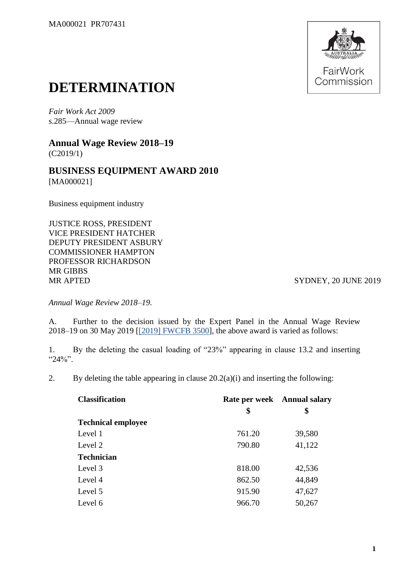

## **DETERMINATION**

*Fair Work Act 2009*  s.285—Annual wage review

**Annual Wage Review 2018–19** (C2019/1)

**BUSINESS EQUIPMENT AWARD 2010** [MA000021]

Business equipment industry

JUSTICE ROSS, PRESIDENT VICE PRESIDENT HATCHER DEPUTY PRESIDENT ASBURY COMMISSIONER HAMPTON PROFESSOR RICHARDSON MR GIBBS MR APTED SYDNEY, 20 JUNE 2019

*Annual Wage Review 2018–19.*

A. Further to the decision issued by the Expert Panel in the Annual Wage Review 2018–19 on 30 May 2019 [\[\[2019\] FWCFB 3500\]](https://www.fwc.gov.au/documents/decisionssigned/html/2019fwcfb3500.htm), the above award is varied as follows:

1. By the deleting the casual loading of "23%" appearing in clause 13.2 and inserting "24%".

2. By deleting the table appearing in clause  $20.2(a)(i)$  and inserting the following:

| <b>Classification</b>     |        | Rate per week Annual salary |
|---------------------------|--------|-----------------------------|
|                           | \$     | \$                          |
| <b>Technical employee</b> |        |                             |
| Level 1                   | 761.20 | 39,580                      |
| Level 2                   | 790.80 | 41,122                      |
| <b>Technician</b>         |        |                             |
| Level 3                   | 818.00 | 42,536                      |
| Level 4                   | 862.50 | 44,849                      |
| Level 5                   | 915.90 | 47,627                      |
| Level 6                   | 966.70 | 50,267                      |
|                           |        |                             |